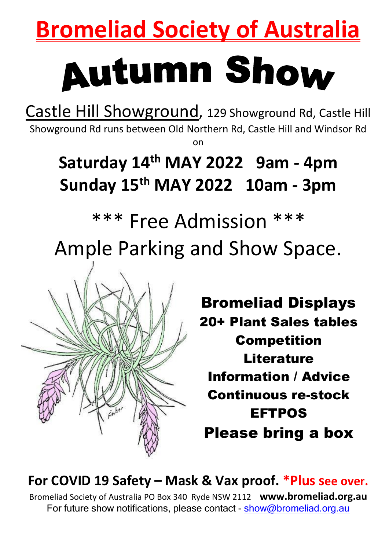## **Bromeliad Society of Australia**

# **Autumn Show**

Castle Hill Showground, 129 Showground Rd, Castle Hill Showground Rd runs between Old Northern Rd, Castle Hill and Windsor Rd on

## **Saturday 14 th MAY 2022 9am - 4pm Sunday 15 th MAY 2022 10am - 3pm**

## \*\*\* Free Admission \*\*\* Ample Parking and Show Space.



Bromeliad Displays 20+ Plant Sales tables Competition **Literature** Information / Advice Continuous re-stock EFTPOS Please bring a box

#### **For COVID 19 Safety – Mask & Vax proof. \*Plus see over.** Bromeliad Society of Australia PO Box 340 Ryde NSW 2112 **www.bromeliad.org.au**

For future show notifications, please contact - [show@bromeliad.org.au](mailto:show@bromeliad.org.au)